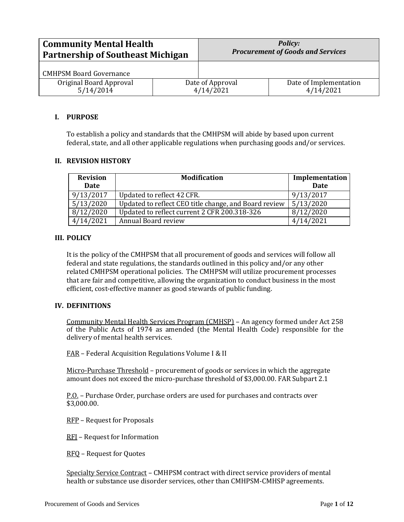| <b>Community Mental Health</b>           |                  | <b>Policy:</b>                           |                        |
|------------------------------------------|------------------|------------------------------------------|------------------------|
| <b>Partnership of Southeast Michigan</b> |                  | <b>Procurement of Goods and Services</b> |                        |
| <b>CMHPSM Board Governance</b>           |                  |                                          |                        |
| Original Board Approval                  | Date of Approval |                                          | Date of Implementation |
| 5/14/2014                                | 4/14/2021        |                                          | 4/14/2021              |

### **I. PURPOSE**

To establish a policy and standards that the CMHPSM will abide by based upon current federal, state, and all other applicable regulations when purchasing goods and/or services.

## **II. REVISION HISTORY**

| <b>Revision</b><br>Date | <b>Modification</b>                                   | Implementation<br><b>Date</b> |
|-------------------------|-------------------------------------------------------|-------------------------------|
| 9/13/2017               | Updated to reflect 42 CFR.                            | 9/13/2017                     |
| 5/13/2020               | Updated to reflect CEO title change, and Board review | 5/13/2020                     |
| 8/12/2020               | Updated to reflect current 2 CFR 200.318-326          | 8/12/2020                     |
| 4/14/2021               | Annual Board review                                   | 4/14/2021                     |

### **III. POLICY**

It is the policy of the CMHPSM that all procurement of goods and services will follow all federal and state regulations, the standards outlined in this policy and/or any other related CMHPSM operational policies. The CMHPSM will utilize procurement processes that are fair and competitive, allowing the organization to conduct business in the most efficient, cost-effective manner as good stewards of public funding.

### **IV. DEFINITIONS**

Community Mental Health Services Program (CMHSP) – An agency formed under Act 258 of the Public Acts of 1974 as amended (the Mental Health Code) responsible for the delivery of mental health services.

FAR – Federal Acquisition Regulations Volume I & II

Micro-Purchase Threshold – procurement of goods or services in which the aggregate amount does not exceed the micro-purchase threshold of \$3,000.00. FAR Subpart 2.1

P.O. – Purchase Order, purchase orders are used for purchases and contracts over \$3,000.00.

RFP – Request for Proposals

RFI – Request for Information

RFQ – Request for Quotes

Specialty Service Contract – CMHPSM contract with direct service providers of mental health or substance use disorder services, other than CMHPSM-CMHSP agreements.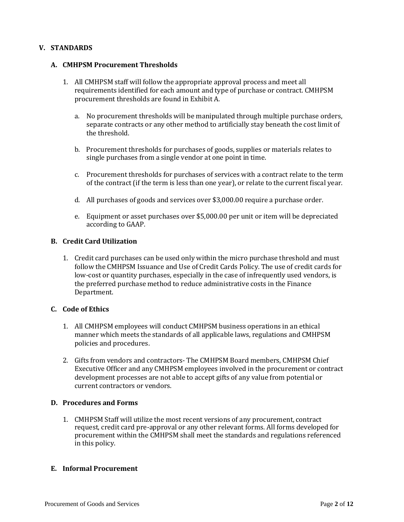## **V. STANDARDS**

### **A. CMHPSM Procurement Thresholds**

- 1. All CMHPSM staff will follow the appropriate approval process and meet all requirements identified for each amount and type of purchase or contract. CMHPSM procurement thresholds are found in Exhibit A.
	- a. No procurement thresholds will be manipulated through multiple purchase orders, separate contracts or any other method to artificially stay beneath the cost limit of the threshold.
	- b. Procurement thresholds for purchases of goods, supplies or materials relates to single purchases from a single vendor at one point in time.
	- c. Procurement thresholds for purchases of services with a contract relate to the term of the contract (if the term is less than one year), or relate to the current fiscal year.
	- d. All purchases of goods and services over \$3,000.00 require a purchase order.
	- e. Equipment or asset purchases over \$5,000.00 per unit or item will be depreciated according to GAAP.

### **B. Credit Card Utilization**

1. Credit card purchases can be used only within the micro purchase threshold and must follow the CMHPSM Issuance and Use of Credit Cards Policy. The use of credit cards for low-cost or quantity purchases, especially in the case of infrequently used vendors, is the preferred purchase method to reduce administrative costs in the Finance Department.

### **C. Code of Ethics**

- 1. All CMHPSM employees will conduct CMHPSM business operations in an ethical manner which meets the standards of all applicable laws, regulations and CMHPSM policies and procedures.
- 2. Gifts from vendors and contractors- The CMHPSM Board members, CMHPSM Chief Executive Officer and any CMHPSM employees involved in the procurement or contract development processes are not able to accept gifts of any value from potential or current contractors or vendors.

### **D. Procedures and Forms**

1. CMHPSM Staff will utilize the most recent versions of any procurement, contract request, credit card pre-approval or any other relevant forms. All forms developed for procurement within the CMHPSM shall meet the standards and regulations referenced in this policy.

#### **E. Informal Procurement**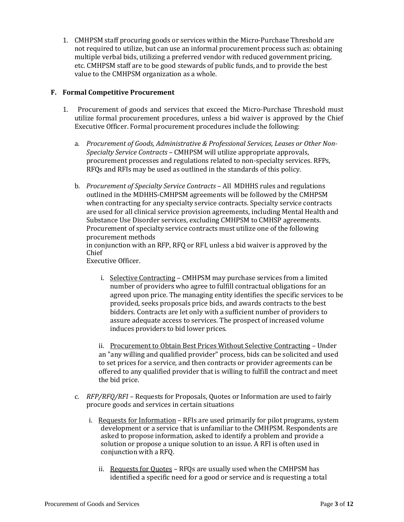1. CMHPSM staff procuring goods or services within the Micro-Purchase Threshold are not required to utilize, but can use an informal procurement process such as: obtaining multiple verbal bids, utilizing a preferred vendor with reduced government pricing, etc. CMHPSM staff are to be good stewards of public funds, and to provide the best value to the CMHPSM organization as a whole.

## **F. Formal Competitive Procurement**

- 1. Procurement of goods and services that exceed the Micro-Purchase Threshold must utilize formal procurement procedures, unless a bid waiver is approved by the Chief Executive Officer. Formal procurement procedures include the following:
	- a. *Procurement of Goods, Administrative & Professional Services, Leases or Other Non-Specialty Service Contracts* – CMHPSM will utilize appropriate approvals, procurement processes and regulations related to non-specialty services. RFPs, RFQs and RFIs may be used as outlined in the standards of this policy.
	- b. *Procurement of Specialty Service Contracts* All MDHHS rules and regulations outlined in the MDHHS-CMHPSM agreements will be followed by the CMHPSM when contracting for any specialty service contracts. Specialty service contracts are used for all clinical service provision agreements, including Mental Health and Substance Use Disorder services, excluding CMHPSM to CMHSP agreements. Procurement of specialty service contracts must utilize one of the following procurement methods

in conjunction with an RFP, RFQ or RFI, unless a bid waiver is approved by the Chief

Executive Officer.

i. Selective Contracting – CMHPSM may purchase services from a limited number of providers who agree to fulfill contractual obligations for an agreed upon price. The managing entity identifies the specific services to be provided, seeks proposals price bids, and awards contracts to the best bidders. Contracts are let only with a sufficient number of providers to assure adequate access to services. The prospect of increased volume induces providers to bid lower prices.

ii. Procurement to Obtain Best Prices Without Selective Contracting – Under an "any willing and qualified provider" process, bids can be solicited and used to set prices for a service, and then contracts or provider agreements can be offered to any qualified provider that is willing to fulfill the contract and meet the bid price.

- c. *RFP/RFQ/RFI* Requests for Proposals, Quotes or Information are used to fairly procure goods and services in certain situations
	- i. Requests for Information RFIs are used primarily for pilot programs, system development or a service that is unfamiliar to the CMHPSM. Respondents are asked to propose information, asked to identify a problem and provide a solution or propose a unique solution to an issue. A RFI is often used in conjunction with a RFQ.
		- ii. Requests for Quotes RFQs are usually used when the CMHPSM has identified a specific need for a good or service and is requesting a total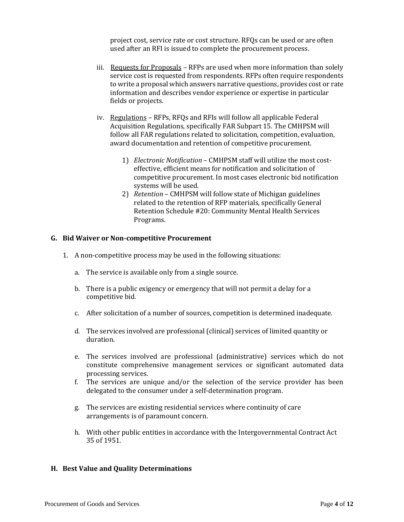project cost, service rate or cost structure. RFQs can be used or are often used after an RFI is issued to complete the procurement process.

- iii. Requests for Proposals RFPs are used when more information than solely service cost is requested from respondents. RFPs often require respondents to write a proposal which answers narrative questions, provides cost or rate information and describes vendor experience or expertise in particular fields or projects.
- iv. Regulations RFPs, RFQs and RFIs will follow all applicable Federal Acquisition Regulations, specifically FAR Subpart 15. The CMHPSM will follow all FAR regulations related to solicitation, competition, evaluation, award documentation and retention of competitive procurement.
	- 1) *Electronic Notification*  CMHPSM staff will utilize the most costeffective, efficient means for notification and solicitation of competitive procurement. In most cases electronic bid notification systems will be used.
	- 2) *Retention* CMHPSM will follow state of Michigan guidelines related to the retention of RFP materials, specifically General Retention Schedule #20: Community Mental Health Services Programs.

### **G. Bid Waiver or Non-competitive Procurement**

- 1. A non-competitive process may be used in the following situations:
	- a. The service is available only from a single source.
	- b. There is a public exigency or emergency that will not permit a delay for a competitive bid.
	- c. After solicitation of a number of sources, competition is determined inadequate.
	- d. The services involved are professional (clinical) services of limited quantity or duration.
	- e. The services involved are professional (administrative) services which do not constitute comprehensive management services or significant automated data processing services.
	- f. The services are unique and/or the selection of the service provider has been delegated to the consumer under a self-determination program.
	- g. The services are existing residential services where continuity of care arrangements is of paramount concern.
	- h. With other public entities in accordance with the Intergovernmental Contract Act 35 of 1951.

### **H. Best Value and Quality Determinations**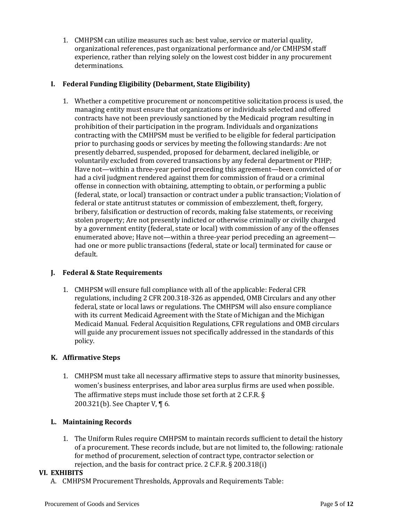1. CMHPSM can utilize measures such as: best value, service or material quality, organizational references, past organizational performance and/or CMHPSM staff experience, rather than relying solely on the lowest cost bidder in any procurement determinations.

## **I. Federal Funding Eligibility (Debarment, State Eligibility)**

1. Whether a competitive procurement or noncompetitive solicitation process is used, the managing entity must ensure that organizations or individuals selected and offered contracts have not been previously sanctioned by the Medicaid program resulting in prohibition of their participation in the program. Individuals and organizations contracting with the CMHPSM must be verified to be eligible for federal participation prior to purchasing goods or services by meeting the following standards: Are not presently debarred, suspended, proposed for debarment, declared ineligible, or voluntarily excluded from covered transactions by any federal department or PIHP; Have not—within a three-year period preceding this agreement—been convicted of or had a civil judgment rendered against them for commission of fraud or a criminal offense in connection with obtaining, attempting to obtain, or performing a public (federal, state, or local) transaction or contract under a public transaction; Violation of federal or state antitrust statutes or commission of embezzlement, theft, forgery, bribery, falsification or destruction of records, making false statements, or receiving stolen property; Are not presently indicted or otherwise criminally or civilly charged by a government entity (federal, state or local) with commission of any of the offenses enumerated above; Have not—within a three-year period preceding an agreement had one or more public transactions (federal, state or local) terminated for cause or default.

## **J. Federal & State Requirements**

1. CMHPSM will ensure full compliance with all of the applicable: Federal CFR regulations, including 2 CFR 200.318-326 as appended, OMB Circulars and any other federal, state or local laws or regulations. The CMHPSM will also ensure compliance with its current Medicaid Agreement with the State of Michigan and the Michigan Medicaid Manual. Federal Acquisition Regulations, CFR regulations and OMB circulars will guide any procurement issues not specifically addressed in the standards of this policy.

# **K. Affirmative Steps**

1. CMHPSM must take all necessary affirmative steps to assure that minority businesses, women's business enterprises, and labor area surplus firms are used when possible. The affirmative steps must include those set forth at 2 C.F.R. § 200.321(b). See Chapter V, ¶ 6.

## **L. Maintaining Records**

1. The Uniform Rules require CMHPSM to maintain records sufficient to detail the history of a procurement. These records include, but are not limited to, the following: rationale for method of procurement, selection of contract type, contractor selection or rejection, and the basis for contract price. 2 C.F.R. § 200.318(i)

## **VI. EXHIBITS**

A. CMHPSM Procurement Thresholds, Approvals and Requirements Table: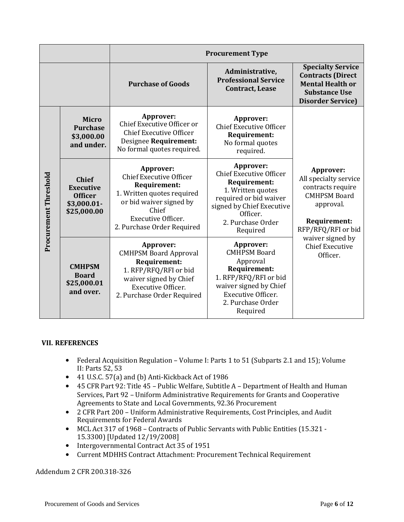|                       |                                                                                    | <b>Procurement Type</b>                                                                                                                                                                  |                                                                                                                                                                                      |                                                                                                                                     |  |  |
|-----------------------|------------------------------------------------------------------------------------|------------------------------------------------------------------------------------------------------------------------------------------------------------------------------------------|--------------------------------------------------------------------------------------------------------------------------------------------------------------------------------------|-------------------------------------------------------------------------------------------------------------------------------------|--|--|
|                       |                                                                                    | <b>Purchase of Goods</b>                                                                                                                                                                 | Administrative,<br><b>Professional Service</b><br><b>Contract, Lease</b>                                                                                                             | <b>Specialty Service</b><br><b>Contracts (Direct</b><br><b>Mental Health or</b><br><b>Substance Use</b><br><b>Disorder Service)</b> |  |  |
| Procurement Threshold | <b>Micro</b><br><b>Purchase</b><br>\$3,000.00<br>and under.                        | Approver:<br>Chief Executive Officer or<br><b>Chief Executive Officer</b><br>Designee Requirement:<br>No formal quotes required.                                                         | Approver:<br><b>Chief Executive Officer</b><br><b>Requirement:</b><br>No formal quotes<br>required.                                                                                  |                                                                                                                                     |  |  |
|                       | <b>Chief</b><br><b>Executive</b><br><b>Officer</b><br>$$3,000.01$ -<br>\$25,000.00 | Approver:<br><b>Chief Executive Officer</b><br><b>Requirement:</b><br>1. Written quotes required<br>or bid waiver signed by<br>Chief<br>Executive Officer.<br>2. Purchase Order Required | Approver:<br><b>Chief Executive Officer</b><br>Requirement:<br>1. Written quotes<br>required or bid waiver<br>signed by Chief Executive<br>Officer.<br>2. Purchase Order<br>Required | Approver:<br>All specialty service<br>contracts require<br><b>CMHPSM Board</b><br>approval.<br>Requirement:<br>RFP/RFQ/RFI or bid   |  |  |
|                       | <b>CMHPSM</b><br><b>Board</b><br>\$25,000.01<br>and over.                          | Approver:<br><b>CMHPSM Board Approval</b><br><b>Requirement:</b><br>1. RFP/RFQ/RFI or bid<br>waiver signed by Chief<br>Executive Officer.<br>2. Purchase Order Required                  | Approver:<br><b>CMHPSM Board</b><br>Approval<br><b>Requirement:</b><br>1. RFP/RFQ/RFI or bid<br>waiver signed by Chief<br>Executive Officer.<br>2. Purchase Order<br>Required        | waiver signed by<br><b>Chief Executive</b><br>Officer.                                                                              |  |  |

## **VII. REFERENCES**

- Federal Acquisition Regulation Volume I: Parts 1 to 51 (Subparts 2.1 and 15); Volume II: Parts 52, 53
- 41 U.S.C. 57(a) and (b) Anti-Kickback Act of 1986
- 45 CFR Part 92: Title 45 Public Welfare, Subtitle A Department of Health and Human Services, Part 92 – Uniform Administrative Requirements for Grants and Cooperative Agreements to State and Local Governments, 92.36 Procurement
- 2 CFR Part 200 Uniform Administrative Requirements, Cost Principles, and Audit Requirements for Federal Awards
- MCL Act 317 of 1968 Contracts of Public Servants with Public Entities (15.321 15.3300) [Updated 12/19/2008]
- Intergovernmental Contract Act 35 of 1951
- Current MDHHS Contract Attachment: Procurement Technical Requirement

Addendum 2 CFR 200.318-326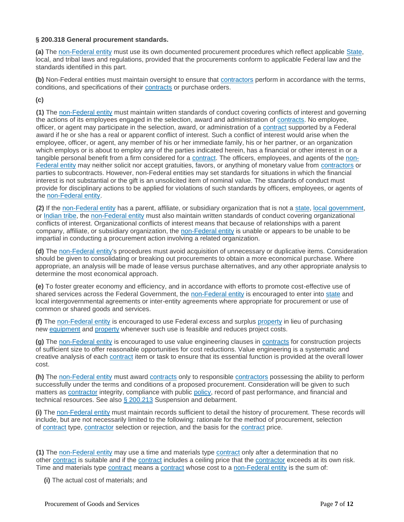#### **§ 200.318 General procurement standards.**

**(a)** The [non-Federal entity](https://www.law.cornell.edu/definitions/index.php?width=840&height=800&iframe=true&def_id=e70d4d5b3d21f635ea2aec391214bde6&term_occur=999&term_src=Title:2:Subtitle:A:Chapter:II:Part:200:Subpart:D:Subjgrp:31:200.318) must use its own documented procurement procedures which reflect applicable [State,](https://www.law.cornell.edu/definitions/index.php?width=840&height=800&iframe=true&def_id=89450cc597955157f0392deeabdb3199&term_occur=999&term_src=Title:2:Subtitle:A:Chapter:II:Part:200:Subpart:D:Subjgrp:31:200.318) local, and tribal laws and regulations, provided that the procurements conform to applicable Federal law and the standards identified in this part.

**(b)** Non-Federal entities must maintain oversight to ensure that [contractors](https://www.law.cornell.edu/definitions/index.php?width=840&height=800&iframe=true&def_id=74f8c247fb5c2e5672df209600833d51&term_occur=999&term_src=Title:2:Subtitle:A:Chapter:II:Part:200:Subpart:D:Subjgrp:31:200.318) perform in accordance with the terms, conditions, and specifications of their [contracts](https://www.law.cornell.edu/definitions/index.php?width=840&height=800&iframe=true&def_id=dad614c8a49266d2767ab3a834546ad5&term_occur=999&term_src=Title:2:Subtitle:A:Chapter:II:Part:200:Subpart:D:Subjgrp:31:200.318) or purchase orders.

## **(c)**

**(1)** The [non-Federal entity](https://www.law.cornell.edu/definitions/index.php?width=840&height=800&iframe=true&def_id=e70d4d5b3d21f635ea2aec391214bde6&term_occur=999&term_src=Title:2:Subtitle:A:Chapter:II:Part:200:Subpart:D:Subjgrp:31:200.318) must maintain written standards of conduct covering conflicts of interest and governing the actions of its employees engaged in the selection, award and administration of [contracts.](https://www.law.cornell.edu/definitions/index.php?width=840&height=800&iframe=true&def_id=dad614c8a49266d2767ab3a834546ad5&term_occur=999&term_src=Title:2:Subtitle:A:Chapter:II:Part:200:Subpart:D:Subjgrp:31:200.318) No employee, officer, or agent may participate in the selection, award, or administration of a [contract](https://www.law.cornell.edu/definitions/index.php?width=840&height=800&iframe=true&def_id=dad614c8a49266d2767ab3a834546ad5&term_occur=999&term_src=Title:2:Subtitle:A:Chapter:II:Part:200:Subpart:D:Subjgrp:31:200.318) supported by a Federal award if he or she has a real or apparent conflict of interest. Such a conflict of interest would arise when the employee, officer, or agent, any member of his or her immediate family, his or her partner, or an organization which employs or is about to employ any of the parties indicated herein, has a financial or other interest in or a tangible personal benefit from a firm considered for a [contract.](https://www.law.cornell.edu/definitions/index.php?width=840&height=800&iframe=true&def_id=dad614c8a49266d2767ab3a834546ad5&term_occur=999&term_src=Title:2:Subtitle:A:Chapter:II:Part:200:Subpart:D:Subjgrp:31:200.318) The officers, employees, and agents of the [non-](https://www.law.cornell.edu/definitions/index.php?width=840&height=800&iframe=true&def_id=e70d4d5b3d21f635ea2aec391214bde6&term_occur=999&term_src=Title:2:Subtitle:A:Chapter:II:Part:200:Subpart:D:Subjgrp:31:200.318)[Federal entity](https://www.law.cornell.edu/definitions/index.php?width=840&height=800&iframe=true&def_id=e70d4d5b3d21f635ea2aec391214bde6&term_occur=999&term_src=Title:2:Subtitle:A:Chapter:II:Part:200:Subpart:D:Subjgrp:31:200.318) may neither solicit nor accept gratuities, favors, or anything of monetary value from [contractors](https://www.law.cornell.edu/definitions/index.php?width=840&height=800&iframe=true&def_id=74f8c247fb5c2e5672df209600833d51&term_occur=999&term_src=Title:2:Subtitle:A:Chapter:II:Part:200:Subpart:D:Subjgrp:31:200.318) or parties to subcontracts. However, non-Federal entities may set standards for situations in which the financial interest is not substantial or the gift is an unsolicited item of nominal value. The standards of conduct must provide for disciplinary actions to be applied for violations of such standards by officers, employees, or agents of the [non-Federal entity.](https://www.law.cornell.edu/definitions/index.php?width=840&height=800&iframe=true&def_id=e70d4d5b3d21f635ea2aec391214bde6&term_occur=999&term_src=Title:2:Subtitle:A:Chapter:II:Part:200:Subpart:D:Subjgrp:31:200.318)

**(2)** If the [non-Federal entity](https://www.law.cornell.edu/definitions/index.php?width=840&height=800&iframe=true&def_id=e70d4d5b3d21f635ea2aec391214bde6&term_occur=999&term_src=Title:2:Subtitle:A:Chapter:II:Part:200:Subpart:D:Subjgrp:31:200.318) has a parent, affiliate, or subsidiary organization that is not a [state,](https://www.law.cornell.edu/definitions/index.php?width=840&height=800&iframe=true&def_id=89450cc597955157f0392deeabdb3199&term_occur=999&term_src=Title:2:Subtitle:A:Chapter:II:Part:200:Subpart:D:Subjgrp:31:200.318) [local government,](https://www.law.cornell.edu/definitions/index.php?width=840&height=800&iframe=true&def_id=5314ea343bca6c21e35dd2667cc31c2a&term_occur=999&term_src=Title:2:Subtitle:A:Chapter:II:Part:200:Subpart:D:Subjgrp:31:200.318) or [Indian tribe,](https://www.law.cornell.edu/definitions/index.php?width=840&height=800&iframe=true&def_id=f8a76868af95441c9fe43e6948afaec2&term_occur=999&term_src=Title:2:Subtitle:A:Chapter:II:Part:200:Subpart:D:Subjgrp:31:200.318) the [non-Federal entity](https://www.law.cornell.edu/definitions/index.php?width=840&height=800&iframe=true&def_id=e70d4d5b3d21f635ea2aec391214bde6&term_occur=999&term_src=Title:2:Subtitle:A:Chapter:II:Part:200:Subpart:D:Subjgrp:31:200.318) must also maintain written standards of conduct covering organizational conflicts of interest. Organizational conflicts of interest means that because of relationships with a parent company, affiliate, or subsidiary organization, the [non-Federal entity](https://www.law.cornell.edu/definitions/index.php?width=840&height=800&iframe=true&def_id=e70d4d5b3d21f635ea2aec391214bde6&term_occur=999&term_src=Title:2:Subtitle:A:Chapter:II:Part:200:Subpart:D:Subjgrp:31:200.318) is unable or appears to be unable to be impartial in conducting a procurement action involving a related organization.

**(d)** The [non-Federal entity'](https://www.law.cornell.edu/definitions/index.php?width=840&height=800&iframe=true&def_id=e70d4d5b3d21f635ea2aec391214bde6&term_occur=999&term_src=Title:2:Subtitle:A:Chapter:II:Part:200:Subpart:D:Subjgrp:31:200.318)s procedures must avoid acquisition of unnecessary or duplicative items. Consideration should be given to consolidating or breaking out procurements to obtain a more economical purchase. Where appropriate, an analysis will be made of lease versus purchase alternatives, and any other appropriate analysis to determine the most economical approach.

**(e)** To foster greater economy and efficiency, and in accordance with efforts to promote cost-effective use of shared services across the Federal Government, the [non-Federal entity](https://www.law.cornell.edu/definitions/index.php?width=840&height=800&iframe=true&def_id=e70d4d5b3d21f635ea2aec391214bde6&term_occur=999&term_src=Title:2:Subtitle:A:Chapter:II:Part:200:Subpart:D:Subjgrp:31:200.318) is encouraged to enter into [state](https://www.law.cornell.edu/definitions/index.php?width=840&height=800&iframe=true&def_id=89450cc597955157f0392deeabdb3199&term_occur=999&term_src=Title:2:Subtitle:A:Chapter:II:Part:200:Subpart:D:Subjgrp:31:200.318) and local intergovernmental agreements or inter-entity agreements where appropriate for procurement or use of common or shared goods and services.

**(f)** The [non-Federal entity](https://www.law.cornell.edu/definitions/index.php?width=840&height=800&iframe=true&def_id=e70d4d5b3d21f635ea2aec391214bde6&term_occur=999&term_src=Title:2:Subtitle:A:Chapter:II:Part:200:Subpart:D:Subjgrp:31:200.318) is encouraged to use Federal excess and surplus [property](https://www.law.cornell.edu/definitions/index.php?width=840&height=800&iframe=true&def_id=cd1b615176564046b0a6fa05da9b1aa8&term_occur=999&term_src=Title:2:Subtitle:A:Chapter:II:Part:200:Subpart:D:Subjgrp:31:200.318) in lieu of purchasing new [equipment](https://www.law.cornell.edu/definitions/index.php?width=840&height=800&iframe=true&def_id=b1658c99a7150eed9938e13b0cc5d5e6&term_occur=999&term_src=Title:2:Subtitle:A:Chapter:II:Part:200:Subpart:D:Subjgrp:31:200.318) and [property](https://www.law.cornell.edu/definitions/index.php?width=840&height=800&iframe=true&def_id=cd1b615176564046b0a6fa05da9b1aa8&term_occur=999&term_src=Title:2:Subtitle:A:Chapter:II:Part:200:Subpart:D:Subjgrp:31:200.318) whenever such use is feasible and reduces project costs.

**(g)** The [non-Federal entity](https://www.law.cornell.edu/definitions/index.php?width=840&height=800&iframe=true&def_id=e70d4d5b3d21f635ea2aec391214bde6&term_occur=999&term_src=Title:2:Subtitle:A:Chapter:II:Part:200:Subpart:D:Subjgrp:31:200.318) is encouraged to use value engineering clauses in [contracts](https://www.law.cornell.edu/definitions/index.php?width=840&height=800&iframe=true&def_id=dad614c8a49266d2767ab3a834546ad5&term_occur=999&term_src=Title:2:Subtitle:A:Chapter:II:Part:200:Subpart:D:Subjgrp:31:200.318) for construction projects of sufficient size to offer reasonable opportunities for cost reductions. Value engineering is a systematic and creative analysis of each [contract](https://www.law.cornell.edu/definitions/index.php?width=840&height=800&iframe=true&def_id=dad614c8a49266d2767ab3a834546ad5&term_occur=999&term_src=Title:2:Subtitle:A:Chapter:II:Part:200:Subpart:D:Subjgrp:31:200.318) item or task to ensure that its essential function is provided at the overall lower cost.

**(h)** The [non-Federal entity](https://www.law.cornell.edu/definitions/index.php?width=840&height=800&iframe=true&def_id=e70d4d5b3d21f635ea2aec391214bde6&term_occur=999&term_src=Title:2:Subtitle:A:Chapter:II:Part:200:Subpart:D:Subjgrp:31:200.318) must award [contracts](https://www.law.cornell.edu/definitions/index.php?width=840&height=800&iframe=true&def_id=dad614c8a49266d2767ab3a834546ad5&term_occur=999&term_src=Title:2:Subtitle:A:Chapter:II:Part:200:Subpart:D:Subjgrp:31:200.318) only to responsible [contractors](https://www.law.cornell.edu/definitions/index.php?width=840&height=800&iframe=true&def_id=74f8c247fb5c2e5672df209600833d51&term_occur=999&term_src=Title:2:Subtitle:A:Chapter:II:Part:200:Subpart:D:Subjgrp:31:200.318) possessing the ability to perform successfully under the terms and conditions of a proposed procurement. Consideration will be given to such matters as [contractor](https://www.law.cornell.edu/definitions/index.php?width=840&height=800&iframe=true&def_id=74f8c247fb5c2e5672df209600833d51&term_occur=999&term_src=Title:2:Subtitle:A:Chapter:II:Part:200:Subpart:D:Subjgrp:31:200.318) integrity, compliance with public [policy,](https://www.law.cornell.edu/definitions/index.php?width=840&height=800&iframe=true&def_id=973aa6f35b30d9ee4e0b272d4449c183&term_occur=999&term_src=Title:2:Subtitle:A:Chapter:II:Part:200:Subpart:D:Subjgrp:31:200.318) record of past performance, and financial and technical resources. See also [§ 200.213](https://www.law.cornell.edu/cfr/text/2/200.213) Suspension and debarment.

**(i)** The [non-Federal entity](https://www.law.cornell.edu/definitions/index.php?width=840&height=800&iframe=true&def_id=e70d4d5b3d21f635ea2aec391214bde6&term_occur=999&term_src=Title:2:Subtitle:A:Chapter:II:Part:200:Subpart:D:Subjgrp:31:200.318) must maintain records sufficient to detail the history of procurement. These records will include, but are not necessarily limited to the following: rationale for the method of procurement, selection of [contract](https://www.law.cornell.edu/definitions/index.php?width=840&height=800&iframe=true&def_id=dad614c8a49266d2767ab3a834546ad5&term_occur=999&term_src=Title:2:Subtitle:A:Chapter:II:Part:200:Subpart:D:Subjgrp:31:200.318) type, [contractor](https://www.law.cornell.edu/definitions/index.php?width=840&height=800&iframe=true&def_id=74f8c247fb5c2e5672df209600833d51&term_occur=999&term_src=Title:2:Subtitle:A:Chapter:II:Part:200:Subpart:D:Subjgrp:31:200.318) selection or rejection, and the basis for the [contract](https://www.law.cornell.edu/definitions/index.php?width=840&height=800&iframe=true&def_id=dad614c8a49266d2767ab3a834546ad5&term_occur=999&term_src=Title:2:Subtitle:A:Chapter:II:Part:200:Subpart:D:Subjgrp:31:200.318) price.

**(1)** The [non-Federal entity](https://www.law.cornell.edu/definitions/index.php?width=840&height=800&iframe=true&def_id=e70d4d5b3d21f635ea2aec391214bde6&term_occur=999&term_src=Title:2:Subtitle:A:Chapter:II:Part:200:Subpart:D:Subjgrp:31:200.318) may use a time and materials type [contract](https://www.law.cornell.edu/definitions/index.php?width=840&height=800&iframe=true&def_id=dad614c8a49266d2767ab3a834546ad5&term_occur=999&term_src=Title:2:Subtitle:A:Chapter:II:Part:200:Subpart:D:Subjgrp:31:200.318) only after a determination that no other [contract](https://www.law.cornell.edu/definitions/index.php?width=840&height=800&iframe=true&def_id=dad614c8a49266d2767ab3a834546ad5&term_occur=999&term_src=Title:2:Subtitle:A:Chapter:II:Part:200:Subpart:D:Subjgrp:31:200.318) is suitable and if the contract includes a ceiling price that the [contractor](https://www.law.cornell.edu/definitions/index.php?width=840&height=800&iframe=true&def_id=74f8c247fb5c2e5672df209600833d51&term_occur=999&term_src=Title:2:Subtitle:A:Chapter:II:Part:200:Subpart:D:Subjgrp:31:200.318) exceeds at its own risk. Time and materials type [contract](https://www.law.cornell.edu/definitions/index.php?width=840&height=800&iframe=true&def_id=dad614c8a49266d2767ab3a834546ad5&term_occur=999&term_src=Title:2:Subtitle:A:Chapter:II:Part:200:Subpart:D:Subjgrp:31:200.318) means a [contract](https://www.law.cornell.edu/definitions/index.php?width=840&height=800&iframe=true&def_id=dad614c8a49266d2767ab3a834546ad5&term_occur=999&term_src=Title:2:Subtitle:A:Chapter:II:Part:200:Subpart:D:Subjgrp:31:200.318) whose cost to a [non-Federal entity](https://www.law.cornell.edu/definitions/index.php?width=840&height=800&iframe=true&def_id=e70d4d5b3d21f635ea2aec391214bde6&term_occur=999&term_src=Title:2:Subtitle:A:Chapter:II:Part:200:Subpart:D:Subjgrp:31:200.318) is the sum of:

**(i)** The actual cost of materials; and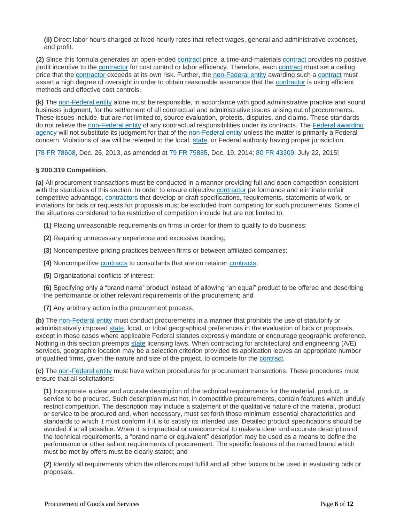**(ii)** Direct labor hours charged at fixed hourly rates that reflect wages, general and administrative expenses, and profit.

**(2)** Since this formula generates an open-ended [contract](https://www.law.cornell.edu/definitions/index.php?width=840&height=800&iframe=true&def_id=dad614c8a49266d2767ab3a834546ad5&term_occur=999&term_src=Title:2:Subtitle:A:Chapter:II:Part:200:Subpart:D:Subjgrp:31:200.318) price, a time-and-materials [contract](https://www.law.cornell.edu/definitions/index.php?width=840&height=800&iframe=true&def_id=dad614c8a49266d2767ab3a834546ad5&term_occur=999&term_src=Title:2:Subtitle:A:Chapter:II:Part:200:Subpart:D:Subjgrp:31:200.318) provides no positive profit incentive to the [contractor](https://www.law.cornell.edu/definitions/index.php?width=840&height=800&iframe=true&def_id=74f8c247fb5c2e5672df209600833d51&term_occur=999&term_src=Title:2:Subtitle:A:Chapter:II:Part:200:Subpart:D:Subjgrp:31:200.318) for cost control or labor efficiency. Therefore, each [contract](https://www.law.cornell.edu/definitions/index.php?width=840&height=800&iframe=true&def_id=dad614c8a49266d2767ab3a834546ad5&term_occur=999&term_src=Title:2:Subtitle:A:Chapter:II:Part:200:Subpart:D:Subjgrp:31:200.318) must set a ceiling price that the [contractor](https://www.law.cornell.edu/definitions/index.php?width=840&height=800&iframe=true&def_id=74f8c247fb5c2e5672df209600833d51&term_occur=999&term_src=Title:2:Subtitle:A:Chapter:II:Part:200:Subpart:D:Subjgrp:31:200.318) exceeds at its own risk. Further, the [non-Federal entity](https://www.law.cornell.edu/definitions/index.php?width=840&height=800&iframe=true&def_id=e70d4d5b3d21f635ea2aec391214bde6&term_occur=999&term_src=Title:2:Subtitle:A:Chapter:II:Part:200:Subpart:D:Subjgrp:31:200.318) awarding such a [contract](https://www.law.cornell.edu/definitions/index.php?width=840&height=800&iframe=true&def_id=dad614c8a49266d2767ab3a834546ad5&term_occur=999&term_src=Title:2:Subtitle:A:Chapter:II:Part:200:Subpart:D:Subjgrp:31:200.318) must assert a high degree of oversight in order to obtain reasonable assurance that the [contractor](https://www.law.cornell.edu/definitions/index.php?width=840&height=800&iframe=true&def_id=74f8c247fb5c2e5672df209600833d51&term_occur=999&term_src=Title:2:Subtitle:A:Chapter:II:Part:200:Subpart:D:Subjgrp:31:200.318) is using efficient methods and effective cost controls.

**(k)** The [non-Federal entity](https://www.law.cornell.edu/definitions/index.php?width=840&height=800&iframe=true&def_id=e70d4d5b3d21f635ea2aec391214bde6&term_occur=999&term_src=Title:2:Subtitle:A:Chapter:II:Part:200:Subpart:D:Subjgrp:31:200.318) alone must be responsible, in accordance with good administrative practice and sound business judgment, for the settlement of all contractual and administrative issues arising out of procurements. These issues include, but are not limited to, source evaluation, protests, disputes, and claims. These standards do not relieve the [non-Federal entity](https://www.law.cornell.edu/definitions/index.php?width=840&height=800&iframe=true&def_id=e70d4d5b3d21f635ea2aec391214bde6&term_occur=999&term_src=Title:2:Subtitle:A:Chapter:II:Part:200:Subpart:D:Subjgrp:31:200.318) of any contractual responsibilities under its contracts. The [Federal awarding](https://www.law.cornell.edu/definitions/index.php?width=840&height=800&iframe=true&def_id=a56842fe7ffc1adf97444068765fa6be&term_occur=999&term_src=Title:2:Subtitle:A:Chapter:II:Part:200:Subpart:D:Subjgrp:31:200.318)  [agency](https://www.law.cornell.edu/definitions/index.php?width=840&height=800&iframe=true&def_id=a56842fe7ffc1adf97444068765fa6be&term_occur=999&term_src=Title:2:Subtitle:A:Chapter:II:Part:200:Subpart:D:Subjgrp:31:200.318) will not substitute its judgment for that of the [non-Federal entity](https://www.law.cornell.edu/definitions/index.php?width=840&height=800&iframe=true&def_id=e70d4d5b3d21f635ea2aec391214bde6&term_occur=999&term_src=Title:2:Subtitle:A:Chapter:II:Part:200:Subpart:D:Subjgrp:31:200.318) unless the matter is primarily a Federal concern. Violations of law will be referred to the local, [state,](https://www.law.cornell.edu/definitions/index.php?width=840&height=800&iframe=true&def_id=89450cc597955157f0392deeabdb3199&term_occur=999&term_src=Title:2:Subtitle:A:Chapter:II:Part:200:Subpart:D:Subjgrp:31:200.318) or Federal authority having proper jurisdiction.

[\[78 FR 78608,](https://www.law.cornell.edu/rio/citation/78_FR_78608) Dec. 26, 2013, as amended at [79 FR 75885,](https://www.law.cornell.edu/rio/citation/79_FR_75885) Dec. 19, 2014; [80 FR 43309,](https://www.law.cornell.edu/rio/citation/80_FR_43309) July 22, 2015]

### **§ 200.319 Competition.**

**(a)** All procurement transactions must be conducted in a manner providing full and open competition consistent with the standards of this section. In order to ensure objective [contractor](https://www.law.cornell.edu/definitions/index.php?width=840&height=800&iframe=true&def_id=74f8c247fb5c2e5672df209600833d51&term_occur=999&term_src=Title:2:Subtitle:A:Chapter:II:Part:200:Subpart:D:Subjgrp:31:200.319) performance and eliminate unfair competitive advantage, [contractors](https://www.law.cornell.edu/definitions/index.php?width=840&height=800&iframe=true&def_id=74f8c247fb5c2e5672df209600833d51&term_occur=999&term_src=Title:2:Subtitle:A:Chapter:II:Part:200:Subpart:D:Subjgrp:31:200.319) that develop or draft specifications, requirements, statements of work, or invitations for bids or requests for proposals must be excluded from competing for such procurements. Some of the situations considered to be restrictive of competition include but are not limited to:

**(1)** Placing unreasonable requirements on firms in order for them to qualify to do business;

**(2)** Requiring unnecessary experience and excessive bonding;

**(3)** Noncompetitive pricing practices between firms or between affiliated companies;

**(4)** Noncompetitive [contracts](https://www.law.cornell.edu/definitions/index.php?width=840&height=800&iframe=true&def_id=dad614c8a49266d2767ab3a834546ad5&term_occur=999&term_src=Title:2:Subtitle:A:Chapter:II:Part:200:Subpart:D:Subjgrp:31:200.319) to consultants that are on retainer [contracts;](https://www.law.cornell.edu/definitions/index.php?width=840&height=800&iframe=true&def_id=dad614c8a49266d2767ab3a834546ad5&term_occur=999&term_src=Title:2:Subtitle:A:Chapter:II:Part:200:Subpart:D:Subjgrp:31:200.319)

**(5)** Organizational conflicts of interest;

**(6)** Specifying only a "brand name" product instead of allowing "an equal" product to be offered and describing the performance or other relevant requirements of the procurement; and

**(7)** Any arbitrary action in the procurement process.

**(b)** The [non-Federal entity](https://www.law.cornell.edu/definitions/index.php?width=840&height=800&iframe=true&def_id=e70d4d5b3d21f635ea2aec391214bde6&term_occur=999&term_src=Title:2:Subtitle:A:Chapter:II:Part:200:Subpart:D:Subjgrp:31:200.319) must conduct procurements in a manner that prohibits the use of statutorily or administratively imposed [state,](https://www.law.cornell.edu/definitions/index.php?width=840&height=800&iframe=true&def_id=89450cc597955157f0392deeabdb3199&term_occur=999&term_src=Title:2:Subtitle:A:Chapter:II:Part:200:Subpart:D:Subjgrp:31:200.319) local, or tribal geographical preferences in the evaluation of bids or proposals, except in those cases where applicable Federal statutes expressly mandate or encourage geographic preference. Nothing in this section preempts [state](https://www.law.cornell.edu/definitions/index.php?width=840&height=800&iframe=true&def_id=89450cc597955157f0392deeabdb3199&term_occur=999&term_src=Title:2:Subtitle:A:Chapter:II:Part:200:Subpart:D:Subjgrp:31:200.319) licensing laws. When contracting for architectural and engineering (A/E) services, geographic location may be a selection criterion provided its application leaves an appropriate number of qualified firms, given the nature and size of the project, to compete for the [contract.](https://www.law.cornell.edu/definitions/index.php?width=840&height=800&iframe=true&def_id=dad614c8a49266d2767ab3a834546ad5&term_occur=999&term_src=Title:2:Subtitle:A:Chapter:II:Part:200:Subpart:D:Subjgrp:31:200.319)

**(c)** The [non-Federal entity](https://www.law.cornell.edu/definitions/index.php?width=840&height=800&iframe=true&def_id=e70d4d5b3d21f635ea2aec391214bde6&term_occur=999&term_src=Title:2:Subtitle:A:Chapter:II:Part:200:Subpart:D:Subjgrp:31:200.319) must have written procedures for procurement transactions. These procedures must ensure that all solicitations:

**(1)** Incorporate a clear and accurate description of the technical requirements for the material, product, or service to be procured. Such description must not, in competitive procurements, contain features which unduly restrict competition. The description may include a statement of the qualitative nature of the material, product or service to be procured and, when necessary, must set forth those minimum essential characteristics and standards to which it must conform if it is to satisfy its intended use. Detailed product specifications should be avoided if at all possible. When it is impractical or uneconomical to make a clear and accurate description of the technical requirements, a "brand name or equivalent" description may be used as a means to define the performance or other salient requirements of procurement. The specific features of the named brand which must be met by offers must be clearly stated; and

**(2)** Identify all requirements which the offerors must fulfill and all other factors to be used in evaluating bids or proposals.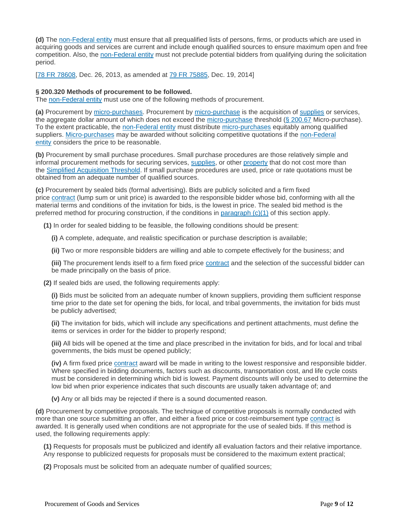**(d)** The [non-Federal entity](https://www.law.cornell.edu/definitions/index.php?width=840&height=800&iframe=true&def_id=e70d4d5b3d21f635ea2aec391214bde6&term_occur=999&term_src=Title:2:Subtitle:A:Chapter:II:Part:200:Subpart:D:Subjgrp:31:200.319) must ensure that all prequalified lists of persons, firms, or products which are used in acquiring goods and services are current and include enough qualified sources to ensure maximum open and free competition. Also, the [non-Federal entity](https://www.law.cornell.edu/definitions/index.php?width=840&height=800&iframe=true&def_id=e70d4d5b3d21f635ea2aec391214bde6&term_occur=999&term_src=Title:2:Subtitle:A:Chapter:II:Part:200:Subpart:D:Subjgrp:31:200.319) must not preclude potential bidders from qualifying during the solicitation period.

[\[78 FR 78608,](https://www.law.cornell.edu/rio/citation/78_FR_78608) Dec. 26, 2013, as amended at [79 FR 75885,](https://www.law.cornell.edu/rio/citation/79_FR_75885) Dec. 19, 2014]

### **§ 200.320 Methods of procurement to be followed.**

The [non-Federal entity](https://www.law.cornell.edu/definitions/index.php?width=840&height=800&iframe=true&def_id=e70d4d5b3d21f635ea2aec391214bde6&term_occur=999&term_src=Title:2:Subtitle:A:Chapter:II:Part:200:Subpart:D:Subjgrp:31:200.320) must use one of the following methods of procurement.

**(a)** Procurement by [micro-purchases.](https://www.law.cornell.edu/definitions/index.php?width=840&height=800&iframe=true&def_id=b04b4ea5a25248995ba6064d4f1b5163&term_occur=999&term_src=Title:2:Subtitle:A:Chapter:II:Part:200:Subpart:D:Subjgrp:31:200.320) Procurement by [micro-purchase](https://www.law.cornell.edu/definitions/index.php?width=840&height=800&iframe=true&def_id=b04b4ea5a25248995ba6064d4f1b5163&term_occur=999&term_src=Title:2:Subtitle:A:Chapter:II:Part:200:Subpart:D:Subjgrp:31:200.320) is the acquisition of [supplies](https://www.law.cornell.edu/definitions/index.php?width=840&height=800&iframe=true&def_id=417f307e32260214332b0cf1264dd8af&term_occur=999&term_src=Title:2:Subtitle:A:Chapter:II:Part:200:Subpart:D:Subjgrp:31:200.320) or services, the aggregate dollar amount of which does not exceed the [micro-purchase](https://www.law.cornell.edu/definitions/index.php?width=840&height=800&iframe=true&def_id=b04b4ea5a25248995ba6064d4f1b5163&term_occur=999&term_src=Title:2:Subtitle:A:Chapter:II:Part:200:Subpart:D:Subjgrp:31:200.320) threshold [\(§ 200.67](https://www.law.cornell.edu/cfr/text/2/200.67) Micro-purchase). To the extent practicable, the [non-Federal entity](https://www.law.cornell.edu/definitions/index.php?width=840&height=800&iframe=true&def_id=e70d4d5b3d21f635ea2aec391214bde6&term_occur=999&term_src=Title:2:Subtitle:A:Chapter:II:Part:200:Subpart:D:Subjgrp:31:200.320) must distribute [micro-purchases](https://www.law.cornell.edu/definitions/index.php?width=840&height=800&iframe=true&def_id=b04b4ea5a25248995ba6064d4f1b5163&term_occur=999&term_src=Title:2:Subtitle:A:Chapter:II:Part:200:Subpart:D:Subjgrp:31:200.320) equitably among qualified suppliers. [Micro-purchases](https://www.law.cornell.edu/definitions/index.php?width=840&height=800&iframe=true&def_id=b04b4ea5a25248995ba6064d4f1b5163&term_occur=999&term_src=Title:2:Subtitle:A:Chapter:II:Part:200:Subpart:D:Subjgrp:31:200.320) may be awarded without soliciting competitive quotations if the [non-Federal](https://www.law.cornell.edu/definitions/index.php?width=840&height=800&iframe=true&def_id=e70d4d5b3d21f635ea2aec391214bde6&term_occur=999&term_src=Title:2:Subtitle:A:Chapter:II:Part:200:Subpart:D:Subjgrp:31:200.320)  [entity](https://www.law.cornell.edu/definitions/index.php?width=840&height=800&iframe=true&def_id=e70d4d5b3d21f635ea2aec391214bde6&term_occur=999&term_src=Title:2:Subtitle:A:Chapter:II:Part:200:Subpart:D:Subjgrp:31:200.320) considers the price to be reasonable.

**(b)** Procurement by small purchase procedures. Small purchase procedures are those relatively simple and informal procurement methods for securing services, [supplies,](https://www.law.cornell.edu/definitions/index.php?width=840&height=800&iframe=true&def_id=417f307e32260214332b0cf1264dd8af&term_occur=999&term_src=Title:2:Subtitle:A:Chapter:II:Part:200:Subpart:D:Subjgrp:31:200.320) or other [property](https://www.law.cornell.edu/definitions/index.php?width=840&height=800&iframe=true&def_id=cd1b615176564046b0a6fa05da9b1aa8&term_occur=999&term_src=Title:2:Subtitle:A:Chapter:II:Part:200:Subpart:D:Subjgrp:31:200.320) that do not cost more than the [Simplified Acquisition Threshold.](https://www.law.cornell.edu/definitions/index.php?width=840&height=800&iframe=true&def_id=d6be8abcf9b6b6fec2f2f7568328f2dc&term_occur=999&term_src=Title:2:Subtitle:A:Chapter:II:Part:200:Subpart:D:Subjgrp:31:200.320) If small purchase procedures are used, price or rate quotations must be obtained from an adequate number of qualified sources.

**(c)** Procurement by sealed bids (formal advertising). Bids are publicly solicited and a firm fixed price [contract](https://www.law.cornell.edu/definitions/index.php?width=840&height=800&iframe=true&def_id=dad614c8a49266d2767ab3a834546ad5&term_occur=999&term_src=Title:2:Subtitle:A:Chapter:II:Part:200:Subpart:D:Subjgrp:31:200.320) (lump sum or unit price) is awarded to the responsible bidder whose bid, conforming with all the material terms and conditions of the invitation for bids, is the lowest in price. The sealed bid method is the preferred method for procuring construction, if the conditions in paragraph  $(c)(1)$  of this section apply.

**(1)** In order for sealed bidding to be feasible, the following conditions should be present:

**(i)** A complete, adequate, and realistic specification or purchase description is available;

**(ii)** Two or more responsible bidders are willing and able to compete effectively for the business; and

(iii) The procurement lends itself to a firm fixed price **[contract](https://www.law.cornell.edu/definitions/index.php?width=840&height=800&iframe=true&def_id=dad614c8a49266d2767ab3a834546ad5&term_occur=999&term_src=Title:2:Subtitle:A:Chapter:II:Part:200:Subpart:D:Subjgrp:31:200.320)** and the selection of the successful bidder can be made principally on the basis of price.

**(2)** If sealed bids are used, the following requirements apply:

**(i)** Bids must be solicited from an adequate number of known suppliers, providing them sufficient response time prior to the date set for opening the bids, for local, and tribal governments, the invitation for bids must be publicly advertised;

**(ii)** The invitation for bids, which will include any specifications and pertinent attachments, must define the items or services in order for the bidder to properly respond;

**(iii)** All bids will be opened at the time and place prescribed in the invitation for bids, and for local and tribal governments, the bids must be opened publicly;

**(iv)** A firm fixed price [contract](https://www.law.cornell.edu/definitions/index.php?width=840&height=800&iframe=true&def_id=dad614c8a49266d2767ab3a834546ad5&term_occur=999&term_src=Title:2:Subtitle:A:Chapter:II:Part:200:Subpart:D:Subjgrp:31:200.320) award will be made in writing to the lowest responsive and responsible bidder. Where specified in bidding documents, factors such as discounts, transportation cost, and life cycle costs must be considered in determining which bid is lowest. Payment discounts will only be used to determine the low bid when prior experience indicates that such discounts are usually taken advantage of; and

**(v)** Any or all bids may be rejected if there is a sound documented reason.

**(d)** Procurement by competitive proposals. The technique of competitive proposals is normally conducted with more than one source submitting an offer, and either a fixed price or cost-reimbursement type [contract](https://www.law.cornell.edu/definitions/index.php?width=840&height=800&iframe=true&def_id=dad614c8a49266d2767ab3a834546ad5&term_occur=999&term_src=Title:2:Subtitle:A:Chapter:II:Part:200:Subpart:D:Subjgrp:31:200.320) is awarded. It is generally used when conditions are not appropriate for the use of sealed bids. If this method is used, the following requirements apply:

**(1)** Requests for proposals must be publicized and identify all evaluation factors and their relative importance. Any response to publicized requests for proposals must be considered to the maximum extent practical;

**(2)** Proposals must be solicited from an adequate number of qualified sources;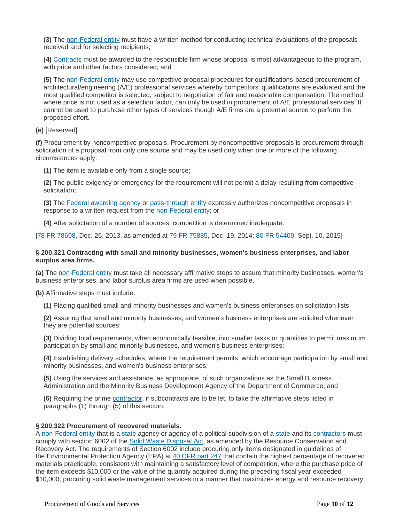**(3)** The [non-Federal entity](https://www.law.cornell.edu/definitions/index.php?width=840&height=800&iframe=true&def_id=e70d4d5b3d21f635ea2aec391214bde6&term_occur=999&term_src=Title:2:Subtitle:A:Chapter:II:Part:200:Subpart:D:Subjgrp:31:200.320) must have a written method for conducting technical evaluations of the proposals received and for selecting recipients;

**(4)** [Contracts](https://www.law.cornell.edu/definitions/index.php?width=840&height=800&iframe=true&def_id=dad614c8a49266d2767ab3a834546ad5&term_occur=999&term_src=Title:2:Subtitle:A:Chapter:II:Part:200:Subpart:D:Subjgrp:31:200.320) must be awarded to the responsible firm whose proposal is most advantageous to the program, with price and other factors considered; and

**(5)** The [non-Federal entity](https://www.law.cornell.edu/definitions/index.php?width=840&height=800&iframe=true&def_id=e70d4d5b3d21f635ea2aec391214bde6&term_occur=999&term_src=Title:2:Subtitle:A:Chapter:II:Part:200:Subpart:D:Subjgrp:31:200.320) may use competitive proposal procedures for qualifications-based procurement of architectural/engineering (A/E) professional services whereby competitors' qualifications are evaluated and the most qualified competitor is selected, subject to negotiation of fair and reasonable compensation. The method, where price is not used as a selection factor, can only be used in procurement of A/E professional services. It cannot be used to purchase other types of services though A/E firms are a potential source to perform the proposed effort.

#### **(e)** [Reserved]

**(f)** Procurement by noncompetitive proposals. Procurement by noncompetitive proposals is procurement through solicitation of a proposal from only one source and may be used only when one or more of the following circumstances apply:

**(1)** The item is available only from a single source;

**(2)** The public exigency or emergency for the requirement will not permit a delay resulting from competitive solicitation;

**(3)** The [Federal awarding agency](https://www.law.cornell.edu/definitions/index.php?width=840&height=800&iframe=true&def_id=a56842fe7ffc1adf97444068765fa6be&term_occur=999&term_src=Title:2:Subtitle:A:Chapter:II:Part:200:Subpart:D:Subjgrp:31:200.320) or [pass-through entity](https://www.law.cornell.edu/definitions/index.php?width=840&height=800&iframe=true&def_id=bd068de301925928a02adc6fab1b1d02&term_occur=999&term_src=Title:2:Subtitle:A:Chapter:II:Part:200:Subpart:D:Subjgrp:31:200.320) expressly authorizes noncompetitive proposals in response to a written request from the [non-Federal entity;](https://www.law.cornell.edu/definitions/index.php?width=840&height=800&iframe=true&def_id=e70d4d5b3d21f635ea2aec391214bde6&term_occur=999&term_src=Title:2:Subtitle:A:Chapter:II:Part:200:Subpart:D:Subjgrp:31:200.320) or

**(4)** After solicitation of a number of sources, competition is determined inadequate.

[\[78 FR 78608,](https://www.law.cornell.edu/rio/citation/78_FR_78608) Dec. 26, 2013, as amended at [79 FR 75885,](https://www.law.cornell.edu/rio/citation/79_FR_75885) Dec. 19, 2014; [80 FR 54409,](https://www.law.cornell.edu/rio/citation/80_FR_54409) Sept. 10, 2015]

#### **§ 200.321 Contracting with small and minority businesses, women's business enterprises, and labor surplus area firms.**

**(a)** The [non-Federal entity](https://www.law.cornell.edu/definitions/index.php?width=840&height=800&iframe=true&def_id=e70d4d5b3d21f635ea2aec391214bde6&term_occur=999&term_src=Title:2:Subtitle:A:Chapter:II:Part:200:Subpart:D:Subjgrp:31:200.321) must take all necessary affirmative steps to assure that minority businesses, women's business enterprises, and labor surplus area firms are used when possible.

**(b)** Affirmative steps must include:

**(1)** Placing qualified small and minority businesses and women's business enterprises on solicitation lists;

**(2)** Assuring that small and minority businesses, and women's business enterprises are solicited whenever they are potential sources;

**(3)** Dividing total requirements, when economically feasible, into smaller tasks or quantities to permit maximum participation by small and minority businesses, and women's business enterprises;

**(4)** Establishing delivery schedules, where the requirement permits, which encourage participation by small and minority businesses, and women's business enterprises;

**(5)** Using the services and assistance, as appropriate, of such organizations as the Small Business Administration and the Minority Business Development Agency of the Department of Commerce; and

**(6)** Requiring the prime [contractor,](https://www.law.cornell.edu/definitions/index.php?width=840&height=800&iframe=true&def_id=74f8c247fb5c2e5672df209600833d51&term_occur=999&term_src=Title:2:Subtitle:A:Chapter:II:Part:200:Subpart:D:Subjgrp:31:200.321) if subcontracts are to be let, to take the affirmative steps listed in paragraphs (1) through (5) of this section.

#### **§ 200.322 Procurement of recovered materials.**

A [non-Federal entity](https://www.law.cornell.edu/definitions/index.php?width=840&height=800&iframe=true&def_id=e70d4d5b3d21f635ea2aec391214bde6&term_occur=999&term_src=Title:2:Subtitle:A:Chapter:II:Part:200:Subpart:D:Subjgrp:31:200.322) that is a [state](https://www.law.cornell.edu/definitions/index.php?width=840&height=800&iframe=true&def_id=89450cc597955157f0392deeabdb3199&term_occur=999&term_src=Title:2:Subtitle:A:Chapter:II:Part:200:Subpart:D:Subjgrp:31:200.322) agency or agency of a political subdivision of a state and its [contractors](https://www.law.cornell.edu/definitions/index.php?width=840&height=800&iframe=true&def_id=74f8c247fb5c2e5672df209600833d51&term_occur=999&term_src=Title:2:Subtitle:A:Chapter:II:Part:200:Subpart:D:Subjgrp:31:200.322) must comply with section 6002 of the [Solid Waste Disposal Act,](https://www.law.cornell.edu/topn/solid_waste_disposal_act) as amended by the Resource Conservation and Recovery Act. The requirements of Section 6002 include procuring only items designated in guidelines of the Environmental Protection Agency (EPA) at [40 CFR part 247](https://www.law.cornell.edu/cfr/text/40/part-247) that contain the highest percentage of recovered materials practicable, consistent with maintaining a satisfactory level of competition, where the purchase price of the item exceeds \$10,000 or the value of the quantity acquired during the preceding fiscal year exceeded \$10,000; procuring solid waste management services in a manner that maximizes energy and resource recovery;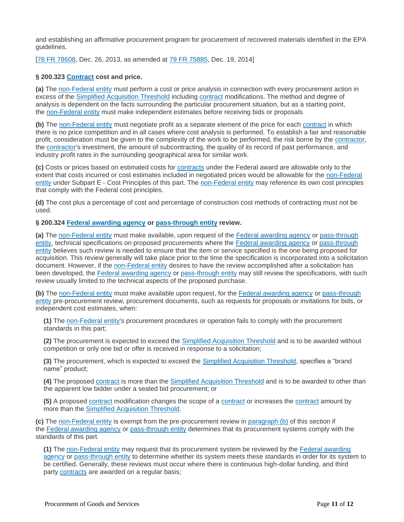and establishing an affirmative procurement program for procurement of recovered materials identified in the EPA guidelines.

[\[78 FR 78608,](https://www.law.cornell.edu/rio/citation/78_FR_78608) Dec. 26, 2013, as amended at [79 FR 75885,](https://www.law.cornell.edu/rio/citation/79_FR_75885) Dec. 19, 2014]

#### **§ 200.323 [Contract](https://www.law.cornell.edu/definitions/index.php?width=840&height=800&iframe=true&def_id=dad614c8a49266d2767ab3a834546ad5&term_occur=999&term_src=Title:2:Subtitle:A:Chapter:II:Part:200:Subpart:D:Subjgrp:31:200.323) cost and price.**

**(a)** The [non-Federal entity](https://www.law.cornell.edu/definitions/index.php?width=840&height=800&iframe=true&def_id=e70d4d5b3d21f635ea2aec391214bde6&term_occur=999&term_src=Title:2:Subtitle:A:Chapter:II:Part:200:Subpart:D:Subjgrp:31:200.323) must perform a cost or price analysis in connection with every procurement action in excess of the [Simplified Acquisition Threshold](https://www.law.cornell.edu/definitions/index.php?width=840&height=800&iframe=true&def_id=d6be8abcf9b6b6fec2f2f7568328f2dc&term_occur=999&term_src=Title:2:Subtitle:A:Chapter:II:Part:200:Subpart:D:Subjgrp:31:200.323) including [contract](https://www.law.cornell.edu/definitions/index.php?width=840&height=800&iframe=true&def_id=dad614c8a49266d2767ab3a834546ad5&term_occur=999&term_src=Title:2:Subtitle:A:Chapter:II:Part:200:Subpart:D:Subjgrp:31:200.323) modifications. The method and degree of analysis is dependent on the facts surrounding the particular procurement situation, but as a starting point, the [non-Federal entity](https://www.law.cornell.edu/definitions/index.php?width=840&height=800&iframe=true&def_id=e70d4d5b3d21f635ea2aec391214bde6&term_occur=999&term_src=Title:2:Subtitle:A:Chapter:II:Part:200:Subpart:D:Subjgrp:31:200.323) must make independent estimates before receiving bids or proposals.

**(b)** The [non-Federal entity](https://www.law.cornell.edu/definitions/index.php?width=840&height=800&iframe=true&def_id=e70d4d5b3d21f635ea2aec391214bde6&term_occur=999&term_src=Title:2:Subtitle:A:Chapter:II:Part:200:Subpart:D:Subjgrp:31:200.323) must negotiate profit as a separate element of the price for each [contract](https://www.law.cornell.edu/definitions/index.php?width=840&height=800&iframe=true&def_id=dad614c8a49266d2767ab3a834546ad5&term_occur=999&term_src=Title:2:Subtitle:A:Chapter:II:Part:200:Subpart:D:Subjgrp:31:200.323) in which there is no price competition and in all cases where cost analysis is performed. To establish a fair and reasonable profit, consideration must be given to the complexity of the work to be performed, the risk borne by the [contractor,](https://www.law.cornell.edu/definitions/index.php?width=840&height=800&iframe=true&def_id=74f8c247fb5c2e5672df209600833d51&term_occur=999&term_src=Title:2:Subtitle:A:Chapter:II:Part:200:Subpart:D:Subjgrp:31:200.323) the [contractor'](https://www.law.cornell.edu/definitions/index.php?width=840&height=800&iframe=true&def_id=74f8c247fb5c2e5672df209600833d51&term_occur=999&term_src=Title:2:Subtitle:A:Chapter:II:Part:200:Subpart:D:Subjgrp:31:200.323)s investment, the amount of subcontracting, the quality of its record of past performance, and industry profit rates in the surrounding geographical area for similar work.

**(c)** Costs or prices based on estimated costs for [contracts](https://www.law.cornell.edu/definitions/index.php?width=840&height=800&iframe=true&def_id=dad614c8a49266d2767ab3a834546ad5&term_occur=999&term_src=Title:2:Subtitle:A:Chapter:II:Part:200:Subpart:D:Subjgrp:31:200.323) under the Federal award are allowable only to the extent that costs incurred or cost estimates included in negotiated prices would be allowable for the [non-Federal](https://www.law.cornell.edu/definitions/index.php?width=840&height=800&iframe=true&def_id=e70d4d5b3d21f635ea2aec391214bde6&term_occur=999&term_src=Title:2:Subtitle:A:Chapter:II:Part:200:Subpart:D:Subjgrp:31:200.323)  [entity](https://www.law.cornell.edu/definitions/index.php?width=840&height=800&iframe=true&def_id=e70d4d5b3d21f635ea2aec391214bde6&term_occur=999&term_src=Title:2:Subtitle:A:Chapter:II:Part:200:Subpart:D:Subjgrp:31:200.323) under Subpart E - Cost Principles of this part. The [non-Federal entity](https://www.law.cornell.edu/definitions/index.php?width=840&height=800&iframe=true&def_id=e70d4d5b3d21f635ea2aec391214bde6&term_occur=999&term_src=Title:2:Subtitle:A:Chapter:II:Part:200:Subpart:D:Subjgrp:31:200.323) may reference its own cost principles that comply with the Federal cost principles.

**(d)** The cost plus a percentage of cost and percentage of construction cost methods of contracting must not be used.

#### **§ 200.324 [Federal awarding agency](https://www.law.cornell.edu/definitions/index.php?width=840&height=800&iframe=true&def_id=a56842fe7ffc1adf97444068765fa6be&term_occur=999&term_src=Title:2:Subtitle:A:Chapter:II:Part:200:Subpart:D:Subjgrp:31:200.324) or [pass-through entity](https://www.law.cornell.edu/definitions/index.php?width=840&height=800&iframe=true&def_id=bd068de301925928a02adc6fab1b1d02&term_occur=999&term_src=Title:2:Subtitle:A:Chapter:II:Part:200:Subpart:D:Subjgrp:31:200.324) review.**

**(a)** The [non-Federal entity](https://www.law.cornell.edu/definitions/index.php?width=840&height=800&iframe=true&def_id=e70d4d5b3d21f635ea2aec391214bde6&term_occur=999&term_src=Title:2:Subtitle:A:Chapter:II:Part:200:Subpart:D:Subjgrp:31:200.324) must make available, upon request of the [Federal awarding agency](https://www.law.cornell.edu/definitions/index.php?width=840&height=800&iframe=true&def_id=a56842fe7ffc1adf97444068765fa6be&term_occur=999&term_src=Title:2:Subtitle:A:Chapter:II:Part:200:Subpart:D:Subjgrp:31:200.324) or [pass-through](https://www.law.cornell.edu/definitions/index.php?width=840&height=800&iframe=true&def_id=bd068de301925928a02adc6fab1b1d02&term_occur=999&term_src=Title:2:Subtitle:A:Chapter:II:Part:200:Subpart:D:Subjgrp:31:200.324)  [entity,](https://www.law.cornell.edu/definitions/index.php?width=840&height=800&iframe=true&def_id=bd068de301925928a02adc6fab1b1d02&term_occur=999&term_src=Title:2:Subtitle:A:Chapter:II:Part:200:Subpart:D:Subjgrp:31:200.324) technical specifications on proposed procurements where the [Federal awarding agency](https://www.law.cornell.edu/definitions/index.php?width=840&height=800&iframe=true&def_id=a56842fe7ffc1adf97444068765fa6be&term_occur=999&term_src=Title:2:Subtitle:A:Chapter:II:Part:200:Subpart:D:Subjgrp:31:200.324) or [pass-through](https://www.law.cornell.edu/definitions/index.php?width=840&height=800&iframe=true&def_id=bd068de301925928a02adc6fab1b1d02&term_occur=999&term_src=Title:2:Subtitle:A:Chapter:II:Part:200:Subpart:D:Subjgrp:31:200.324)  [entity](https://www.law.cornell.edu/definitions/index.php?width=840&height=800&iframe=true&def_id=bd068de301925928a02adc6fab1b1d02&term_occur=999&term_src=Title:2:Subtitle:A:Chapter:II:Part:200:Subpart:D:Subjgrp:31:200.324) believes such review is needed to ensure that the item or service specified is the one being proposed for acquisition. This review generally will take place prior to the time the specification is incorporated into a solicitation document. However, if the [non-Federal entity](https://www.law.cornell.edu/definitions/index.php?width=840&height=800&iframe=true&def_id=e70d4d5b3d21f635ea2aec391214bde6&term_occur=999&term_src=Title:2:Subtitle:A:Chapter:II:Part:200:Subpart:D:Subjgrp:31:200.324) desires to have the review accomplished after a solicitation has been developed, the [Federal awarding agency](https://www.law.cornell.edu/definitions/index.php?width=840&height=800&iframe=true&def_id=a56842fe7ffc1adf97444068765fa6be&term_occur=999&term_src=Title:2:Subtitle:A:Chapter:II:Part:200:Subpart:D:Subjgrp:31:200.324) or [pass-through entity](https://www.law.cornell.edu/definitions/index.php?width=840&height=800&iframe=true&def_id=bd068de301925928a02adc6fab1b1d02&term_occur=999&term_src=Title:2:Subtitle:A:Chapter:II:Part:200:Subpart:D:Subjgrp:31:200.324) may still review the specifications, with such review usually limited to the technical aspects of the proposed purchase.

**(b)** The [non-Federal entity](https://www.law.cornell.edu/definitions/index.php?width=840&height=800&iframe=true&def_id=e70d4d5b3d21f635ea2aec391214bde6&term_occur=999&term_src=Title:2:Subtitle:A:Chapter:II:Part:200:Subpart:D:Subjgrp:31:200.324) must make available upon request, for the [Federal awarding agency](https://www.law.cornell.edu/definitions/index.php?width=840&height=800&iframe=true&def_id=a56842fe7ffc1adf97444068765fa6be&term_occur=999&term_src=Title:2:Subtitle:A:Chapter:II:Part:200:Subpart:D:Subjgrp:31:200.324) or [pass-through](https://www.law.cornell.edu/definitions/index.php?width=840&height=800&iframe=true&def_id=bd068de301925928a02adc6fab1b1d02&term_occur=999&term_src=Title:2:Subtitle:A:Chapter:II:Part:200:Subpart:D:Subjgrp:31:200.324)  [entity](https://www.law.cornell.edu/definitions/index.php?width=840&height=800&iframe=true&def_id=bd068de301925928a02adc6fab1b1d02&term_occur=999&term_src=Title:2:Subtitle:A:Chapter:II:Part:200:Subpart:D:Subjgrp:31:200.324) pre-procurement review, procurement documents, such as requests for proposals or invitations for bids, or independent cost estimates, when:

**(1)** The [non-Federal entity's](https://www.law.cornell.edu/definitions/index.php?width=840&height=800&iframe=true&def_id=e70d4d5b3d21f635ea2aec391214bde6&term_occur=999&term_src=Title:2:Subtitle:A:Chapter:II:Part:200:Subpart:D:Subjgrp:31:200.324) procurement procedures or operation fails to comply with the procurement standards in this part;

**(2)** The procurement is expected to exceed the [Simplified Acquisition Threshold](https://www.law.cornell.edu/definitions/index.php?width=840&height=800&iframe=true&def_id=d6be8abcf9b6b6fec2f2f7568328f2dc&term_occur=999&term_src=Title:2:Subtitle:A:Chapter:II:Part:200:Subpart:D:Subjgrp:31:200.324) and is to be awarded without competition or only one bid or offer is received in response to a solicitation;

**(3)** The procurement, which is expected to exceed the [Simplified Acquisition Threshold,](https://www.law.cornell.edu/definitions/index.php?width=840&height=800&iframe=true&def_id=d6be8abcf9b6b6fec2f2f7568328f2dc&term_occur=999&term_src=Title:2:Subtitle:A:Chapter:II:Part:200:Subpart:D:Subjgrp:31:200.324) specifies a "brand name" product;

**(4)** The proposed [contract](https://www.law.cornell.edu/definitions/index.php?width=840&height=800&iframe=true&def_id=dad614c8a49266d2767ab3a834546ad5&term_occur=999&term_src=Title:2:Subtitle:A:Chapter:II:Part:200:Subpart:D:Subjgrp:31:200.324) is more than the [Simplified Acquisition Threshold](https://www.law.cornell.edu/definitions/index.php?width=840&height=800&iframe=true&def_id=d6be8abcf9b6b6fec2f2f7568328f2dc&term_occur=999&term_src=Title:2:Subtitle:A:Chapter:II:Part:200:Subpart:D:Subjgrp:31:200.324) and is to be awarded to other than the apparent low bidder under a sealed bid procurement; or

**(5)** A proposed [contract](https://www.law.cornell.edu/definitions/index.php?width=840&height=800&iframe=true&def_id=dad614c8a49266d2767ab3a834546ad5&term_occur=999&term_src=Title:2:Subtitle:A:Chapter:II:Part:200:Subpart:D:Subjgrp:31:200.324) modification changes the scope of a [contract](https://www.law.cornell.edu/definitions/index.php?width=840&height=800&iframe=true&def_id=dad614c8a49266d2767ab3a834546ad5&term_occur=999&term_src=Title:2:Subtitle:A:Chapter:II:Part:200:Subpart:D:Subjgrp:31:200.324) or increases the [contract](https://www.law.cornell.edu/definitions/index.php?width=840&height=800&iframe=true&def_id=dad614c8a49266d2767ab3a834546ad5&term_occur=999&term_src=Title:2:Subtitle:A:Chapter:II:Part:200:Subpart:D:Subjgrp:31:200.324) amount by more than the [Simplified Acquisition Threshold.](https://www.law.cornell.edu/definitions/index.php?width=840&height=800&iframe=true&def_id=d6be8abcf9b6b6fec2f2f7568328f2dc&term_occur=999&term_src=Title:2:Subtitle:A:Chapter:II:Part:200:Subpart:D:Subjgrp:31:200.324)

**(c)** The [non-Federal entity](https://www.law.cornell.edu/definitions/index.php?width=840&height=800&iframe=true&def_id=e70d4d5b3d21f635ea2aec391214bde6&term_occur=999&term_src=Title:2:Subtitle:A:Chapter:II:Part:200:Subpart:D:Subjgrp:31:200.324) is exempt from the pre-procurement review in [paragraph \(b\)](https://www.law.cornell.edu/cfr/text/2/200.324#b) of this section if the [Federal awarding agency](https://www.law.cornell.edu/definitions/index.php?width=840&height=800&iframe=true&def_id=a56842fe7ffc1adf97444068765fa6be&term_occur=999&term_src=Title:2:Subtitle:A:Chapter:II:Part:200:Subpart:D:Subjgrp:31:200.324) or [pass-through entity](https://www.law.cornell.edu/definitions/index.php?width=840&height=800&iframe=true&def_id=bd068de301925928a02adc6fab1b1d02&term_occur=999&term_src=Title:2:Subtitle:A:Chapter:II:Part:200:Subpart:D:Subjgrp:31:200.324) determines that its procurement systems comply with the standards of this part.

**(1)** The [non-Federal entity](https://www.law.cornell.edu/definitions/index.php?width=840&height=800&iframe=true&def_id=e70d4d5b3d21f635ea2aec391214bde6&term_occur=999&term_src=Title:2:Subtitle:A:Chapter:II:Part:200:Subpart:D:Subjgrp:31:200.324) may request that its procurement system be reviewed by the [Federal awarding](https://www.law.cornell.edu/definitions/index.php?width=840&height=800&iframe=true&def_id=a56842fe7ffc1adf97444068765fa6be&term_occur=999&term_src=Title:2:Subtitle:A:Chapter:II:Part:200:Subpart:D:Subjgrp:31:200.324)  [agency](https://www.law.cornell.edu/definitions/index.php?width=840&height=800&iframe=true&def_id=a56842fe7ffc1adf97444068765fa6be&term_occur=999&term_src=Title:2:Subtitle:A:Chapter:II:Part:200:Subpart:D:Subjgrp:31:200.324) or [pass-through entity](https://www.law.cornell.edu/definitions/index.php?width=840&height=800&iframe=true&def_id=bd068de301925928a02adc6fab1b1d02&term_occur=999&term_src=Title:2:Subtitle:A:Chapter:II:Part:200:Subpart:D:Subjgrp:31:200.324) to determine whether its system meets these standards in order for its system to be certified. Generally, these reviews must occur where there is continuous high-dollar funding, and third party [contracts](https://www.law.cornell.edu/definitions/index.php?width=840&height=800&iframe=true&def_id=dad614c8a49266d2767ab3a834546ad5&term_occur=999&term_src=Title:2:Subtitle:A:Chapter:II:Part:200:Subpart:D:Subjgrp:31:200.324) are awarded on a regular basis;